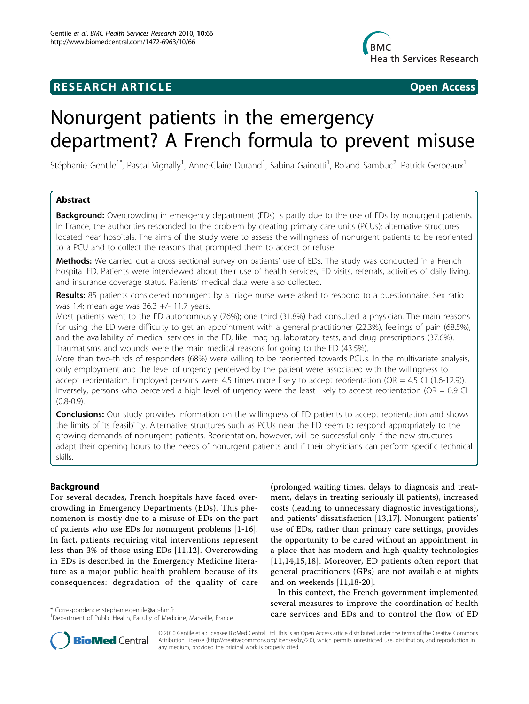## **RESEARCH ARTICLE Example 2018 12:30 THE Open Access**



# Nonurgent patients in the emergency department? A French formula to prevent misuse

Stéphanie Gentile<sup>1\*</sup>, Pascal Vignally<sup>1</sup>, Anne-Claire Durand<sup>1</sup>, Sabina Gainotti<sup>1</sup>, Roland Sambuc<sup>2</sup>, Patrick Gerbeaux<sup>1</sup>

## Abstract

**Background:** Overcrowding in emergency department (EDs) is partly due to the use of EDs by nonurgent patients. In France, the authorities responded to the problem by creating primary care units (PCUs): alternative structures located near hospitals. The aims of the study were to assess the willingness of nonurgent patients to be reoriented to a PCU and to collect the reasons that prompted them to accept or refuse.

Methods: We carried out a cross sectional survey on patients' use of EDs. The study was conducted in a French hospital ED. Patients were interviewed about their use of health services, ED visits, referrals, activities of daily living, and insurance coverage status. Patients' medical data were also collected.

Results: 85 patients considered nonurgent by a triage nurse were asked to respond to a questionnaire. Sex ratio was 1.4; mean age was 36.3 +/- 11.7 years.

Most patients went to the ED autonomously (76%); one third (31.8%) had consulted a physician. The main reasons for using the ED were difficulty to get an appointment with a general practitioner (22.3%), feelings of pain (68.5%), and the availability of medical services in the ED, like imaging, laboratory tests, and drug prescriptions (37.6%). Traumatisms and wounds were the main medical reasons for going to the ED (43.5%).

More than two-thirds of responders (68%) were willing to be reoriented towards PCUs. In the multivariate analysis, only employment and the level of urgency perceived by the patient were associated with the willingness to accept reorientation. Employed persons were 4.5 times more likely to accept reorientation (OR = 4.5 CI (1.6-12.9)). Inversely, persons who perceived a high level of urgency were the least likely to accept reorientation (OR =  $0.9$  CI  $(0.8 - 0.9)$ .

**Conclusions:** Our study provides information on the willingness of ED patients to accept reorientation and shows the limits of its feasibility. Alternative structures such as PCUs near the ED seem to respond appropriately to the growing demands of nonurgent patients. Reorientation, however, will be successful only if the new structures adapt their opening hours to the needs of nonurgent patients and if their physicians can perform specific technical skills.

## Background

For several decades, French hospitals have faced overcrowding in Emergency Departments (EDs). This phenomenon is mostly due to a misuse of EDs on the part of patients who use EDs for nonurgent problems [[1](#page-4-0)[-16](#page-5-0)]. In fact, patients requiring vital interventions represent less than 3% of those using EDs [[11,12](#page-5-0)]. Overcrowding in EDs is described in the Emergency Medicine literature as a major public health problem because of its consequences: degradation of the quality of care

(prolonged waiting times, delays to diagnosis and treatment, delays in treating seriously ill patients), increased costs (leading to unnecessary diagnostic investigations), and patients' dissatisfaction [\[13,17](#page-5-0)]. Nonurgent patients' use of EDs, rather than primary care settings, provides the opportunity to be cured without an appointment, in a place that has modern and high quality technologies [[11](#page-5-0),[14,15](#page-5-0),[18](#page-5-0)]. Moreover, ED patients often report that general practitioners (GPs) are not available at nights and on weekends [\[11,18-20](#page-5-0)].

In this context, the French government implemented several measures to improve the coordination of health \* Correspondence: [stephanie.gentile@ap-hm.fr](mailto:stephanie.gentile@ap-hm.fr)<br> **care services and EDs and to control the flow of ED**<br>
<sup>1</sup> Correspondence: stephanie.gentile@ap-hm.fr



© 2010 Gentile et al; licensee BioMed Central Ltd. This is an Open Access article distributed under the terms of the Creative Commons Attribution License [\(http://creativecommons.org/licenses/by/2.0](http://creativecommons.org/licenses/by/2.0)), which permits unrestricted use, distribution, and reproduction in any medium, provided the original work is properly cited.

<sup>&</sup>lt;sup>1</sup>Department of Public Health, Faculty of Medicine, Marseille, France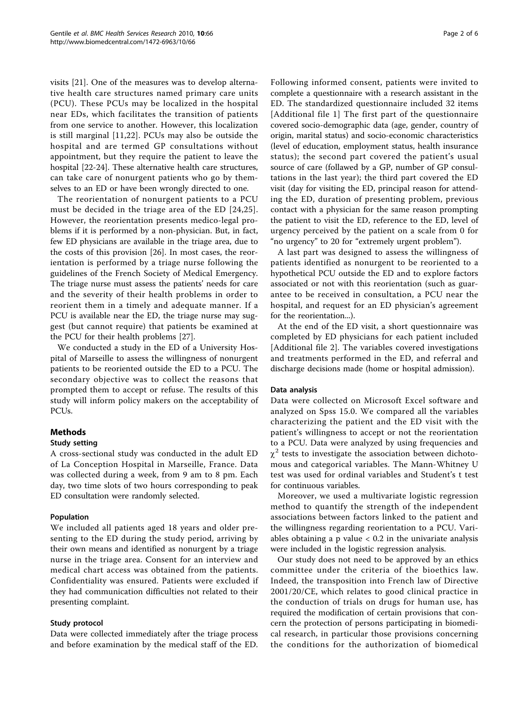visits [[21\]](#page-5-0). One of the measures was to develop alternative health care structures named primary care units (PCU). These PCUs may be localized in the hospital near EDs, which facilitates the transition of patients from one service to another. However, this localization is still marginal [[11,22\]](#page-5-0). PCUs may also be outside the hospital and are termed GP consultations without appointment, but they require the patient to leave the hospital [[22-24](#page-5-0)]. These alternative health care structures, can take care of nonurgent patients who go by themselves to an ED or have been wrongly directed to one.

The reorientation of nonurgent patients to a PCU must be decided in the triage area of the ED [[24](#page-5-0),[25\]](#page-5-0). However, the reorientation presents medico-legal problems if it is performed by a non-physician. But, in fact, few ED physicians are available in the triage area, due to the costs of this provision [[26](#page-5-0)]. In most cases, the reorientation is performed by a triage nurse following the guidelines of the French Society of Medical Emergency. The triage nurse must assess the patients' needs for care and the severity of their health problems in order to reorient them in a timely and adequate manner. If a PCU is available near the ED, the triage nurse may suggest (but cannot require) that patients be examined at the PCU for their health problems [[27\]](#page-5-0).

We conducted a study in the ED of a University Hospital of Marseille to assess the willingness of nonurgent patients to be reoriented outside the ED to a PCU. The secondary objective was to collect the reasons that prompted them to accept or refuse. The results of this study will inform policy makers on the acceptability of PCUs.

### Methods

### Study setting

A cross-sectional study was conducted in the adult ED of La Conception Hospital in Marseille, France. Data was collected during a week, from 9 am to 8 pm. Each day, two time slots of two hours corresponding to peak ED consultation were randomly selected.

#### Population

We included all patients aged 18 years and older presenting to the ED during the study period, arriving by their own means and identified as nonurgent by a triage nurse in the triage area. Consent for an interview and medical chart access was obtained from the patients. Confidentiality was ensured. Patients were excluded if they had communication difficulties not related to their presenting complaint.

#### Study protocol

Data were collected immediately after the triage process and before examination by the medical staff of the ED. Following informed consent, patients were invited to complete a questionnaire with a research assistant in the ED. The standardized questionnaire included 32 items [Additional file [1](#page-4-0)] The first part of the questionnaire covered socio-demographic data (age, gender, country of origin, marital status) and socio-economic characteristics (level of education, employment status, health insurance status); the second part covered the patient's usual source of care (follawed by a GP, number of GP consultations in the last year); the third part covered the ED visit (day for visiting the ED, principal reason for attending the ED, duration of presenting problem, previous contact with a physician for the same reason prompting the patient to visit the ED, reference to the ED, level of urgency perceived by the patient on a scale from 0 for "no urgency" to 20 for "extremely urgent problem").

A last part was designed to assess the willingness of patients identified as nonurgent to be reoriented to a hypothetical PCU outside the ED and to explore factors associated or not with this reorientation (such as guarantee to be received in consultation, a PCU near the hospital, and request for an ED physician's agreement for the reorientation...).

At the end of the ED visit, a short questionnaire was completed by ED physicians for each patient included [Additional file [2\]](#page-4-0). The variables covered investigations and treatments performed in the ED, and referral and discharge decisions made (home or hospital admission).

#### Data analysis

Data were collected on Microsoft Excel software and analyzed on Spss 15.0. We compared all the variables characterizing the patient and the ED visit with the patient's willingness to accept or not the reorientation to a PCU. Data were analyzed by using frequencies and  $\chi^2$  tests to investigate the association between dichotomous and categorical variables. The Mann-Whitney U test was used for ordinal variables and Student's t test for continuous variables.

Moreover, we used a multivariate logistic regression method to quantify the strength of the independent associations between factors linked to the patient and the willingness regarding reorientation to a PCU. Variables obtaining a  $p$  value  $< 0.2$  in the univariate analysis were included in the logistic regression analysis.

Our study does not need to be approved by an ethics committee under the criteria of the bioethics law. Indeed, the transposition into French law of Directive 2001/20/CE, which relates to good clinical practice in the conduction of trials on drugs for human use, has required the modification of certain provisions that concern the protection of persons participating in biomedical research, in particular those provisions concerning the conditions for the authorization of biomedical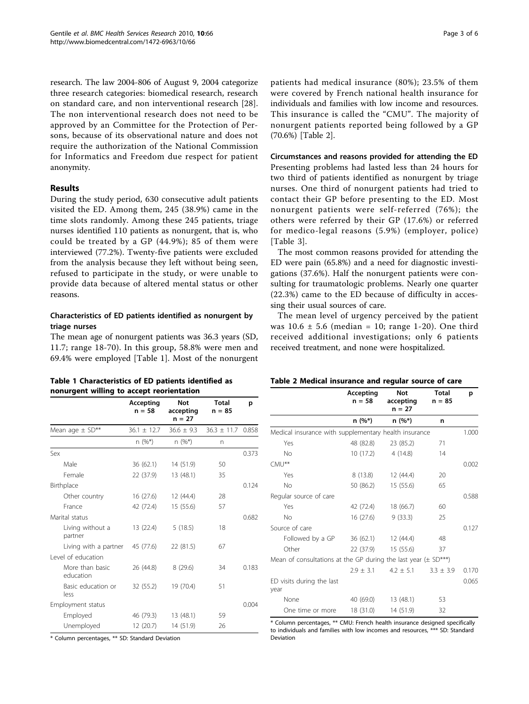<span id="page-2-0"></span>research. The law 2004-806 of August 9, 2004 categorize three research categories: biomedical research, research on standard care, and non interventional research [\[28](#page-5-0)]. The non interventional research does not need to be approved by an Committee for the Protection of Persons, because of its observational nature and does not require the authorization of the National Commission for Informatics and Freedom due respect for patient anonymity.

## Results

During the study period, 630 consecutive adult patients visited the ED. Among them, 245 (38.9%) came in the time slots randomly. Among these 245 patients, triage nurses identified 110 patients as nonurgent, that is, who could be treated by a GP (44.9%); 85 of them were interviewed (77.2%). Twenty-five patients were excluded from the analysis because they left without being seen, refused to participate in the study, or were unable to provide data because of altered mental status or other reasons.

## Characteristics of ED patients identified as nonurgent by triage nurses

The mean age of nonurgent patients was 36.3 years (SD, 11.7; range 18-70). In this group, 58.8% were men and 69.4% were employed [Table 1]. Most of the nonurgent patients had medical insurance (80%); 23.5% of them were covered by French national health insurance for individuals and families with low income and resources. This insurance is called the "CMU". The majority of nonurgent patients reported being followed by a GP (70.6%) [Table 2].

Circumstances and reasons provided for attending the ED Presenting problems had lasted less than 24 hours for two third of patients identified as nonurgent by triage nurses. One third of nonurgent patients had tried to contact their GP before presenting to the ED. Most nonurgent patients were self-referred (76%); the others were referred by their GP (17.6%) or referred for medico-legal reasons (5.9%) (employer, police) [Table [3](#page-3-0)].

The most common reasons provided for attending the ED were pain (65.8%) and a need for diagnostic investigations (37.6%). Half the nonurgent patients were consulting for traumatologic problems. Nearly one quarter (22.3%) came to the ED because of difficulty in accessing their usual sources of care.

The mean level of urgency perceived by the patient was  $10.6 \pm 5.6$  (median = 10; range 1-20). One third received additional investigations; only 6 patients received treatment, and none were hospitalized.

| Table 1 Characteristics of ED patients identified as |
|------------------------------------------------------|
| nonurgent willing to accept reorientation            |

#### Table 2 Medical insurance and regular source of care

|                              | Accepting<br>$n = 58$ | <b>Not</b><br>accepting<br>$n = 27$ | <b>Total</b><br>$n = 85$ | p     |
|------------------------------|-----------------------|-------------------------------------|--------------------------|-------|
| Mean age $\pm$ SD**          | $36.1 \pm 12.7$       | $36.6 \pm 9.3$                      | $36.3 \pm 11.7$          | 0.858 |
|                              | $n(%^*)$              | $n(%^*)$                            | n                        |       |
| Sex                          |                       |                                     |                          | 0.373 |
| Male                         | 36(62.1)              | 14 (51.9)                           | 50                       |       |
| Female                       | 22 (37.9)             | 13 (48.1)                           | 35                       |       |
| Birthplace                   |                       |                                     |                          | 0.124 |
| Other country                | 16(27.6)              | 12 (44.4)                           | 28                       |       |
| France                       | 42 (72.4)             | 15 (55.6)                           | 57                       |       |
| Marital status               |                       |                                     |                          | 0.682 |
| Living without a<br>partner  | 13 (22.4)             | 5(18.5)                             | 18                       |       |
| Living with a partner        | 45 (77.6)             | 22 (81.5)                           | 67                       |       |
| Level of education           |                       |                                     |                          |       |
| More than basic<br>education | 26 (44.8)             | 8(29.6)                             | 34                       | 0.183 |
| Basic education or<br>less   | 32 (55.2)             | 19 (70.4)                           | 51                       |       |
| Employment status            |                       |                                     |                          | 0.004 |
| Employed                     | 46 (79.3)             | 13 (48.1)                           | 59                       |       |
| Unemployed                   | 12(20.7)              | 14 (51.9)                           | 26                       |       |

\* Column percentages, \*\* SD: Standard Deviation

|                                                                       | Accepting<br>$n = 58$ | <b>Not</b><br>accepting<br>$n = 27$ | <b>Total</b><br>$n = 85$ | p     |
|-----------------------------------------------------------------------|-----------------------|-------------------------------------|--------------------------|-------|
|                                                                       | n (%*)                | $n (%^*)$                           | n                        |       |
| Medical insurance with supplementary health insurance                 |                       |                                     |                          |       |
| Yes                                                                   | 48 (82.8)             | 23 (85.2)                           | 71                       |       |
| No                                                                    | 10 (17.2)             | 4(14.8)                             | 14                       |       |
| CMU**                                                                 |                       |                                     |                          | 0.002 |
| Yes                                                                   | 8 (13.8)              | 12(44.4)                            | 20                       |       |
| No                                                                    | 50 (86.2)             | 15(55.6)                            | 65                       |       |
| Regular source of care                                                |                       |                                     |                          | 0.588 |
| Yes                                                                   | 42 (72.4)             | 18 (66.7)                           | 60                       |       |
| No                                                                    | 16(27.6)              | 9(33.3)                             | 25                       |       |
| Source of care                                                        |                       |                                     |                          | 0.127 |
| Followed by a GP                                                      |                       | 36 (62.1) 12 (44.4)                 | 48                       |       |
| Other                                                                 | 22 (37.9)             | 15(55.6)                            | 37                       |       |
| Mean of consultations at the GP during the last year $(\pm SD^{***})$ |                       |                                     |                          |       |
|                                                                       | $2.9 \pm 3.1$         | $4.2 \pm 5.1$                       | $3.3 \pm 3.9$            | 0.170 |
| ED visits during the last<br>year                                     |                       |                                     |                          | 0.065 |
| None                                                                  | 40 (69.0)             | 13 (48.1)                           | 53                       |       |
| One time or more                                                      | 18 (31.0)             | 14 (51.9)                           | 32                       |       |

\* Column percentages, \*\* CMU: French health insurance designed specifically to individuals and families with low incomes and resources, \*\*\* SD: Standard Deviation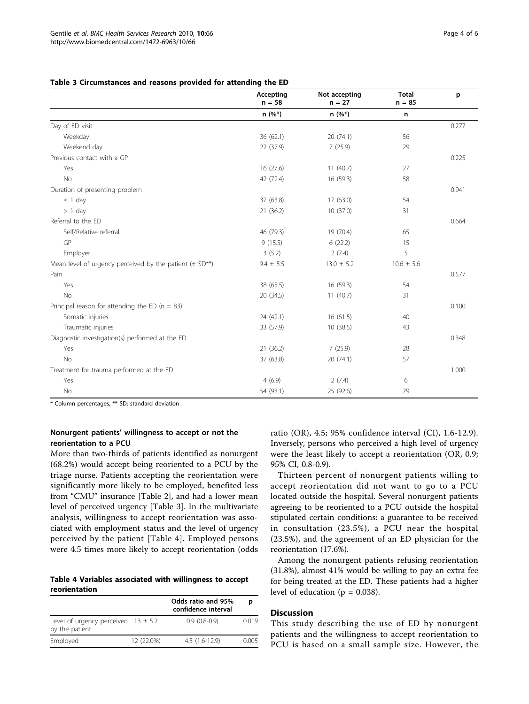<span id="page-3-0"></span>Table 3 Circumstances and reasons provided for attending the ED

|                                                                | Accepting<br>$n = 58$ | Not accepting<br>$n = 27$ | <b>Total</b><br>$n = 85$ | p     |
|----------------------------------------------------------------|-----------------------|---------------------------|--------------------------|-------|
|                                                                | $n(%^*)$              | $n(%^*)$                  | n                        |       |
| Day of ED visit                                                |                       |                           |                          | 0.277 |
| Weekday                                                        | 36 (62.1)             | 20 (74.1)                 | 56                       |       |
| Weekend day                                                    | 22 (37.9)             | 7(25.9)                   | 29                       |       |
| Previous contact with a GP                                     |                       |                           |                          | 0.225 |
| Yes                                                            | 16(27.6)              | 11(40.7)                  | 27                       |       |
| <b>No</b>                                                      | 42 (72.4)             | 16 (59.3)                 | 58                       |       |
| Duration of presenting problem                                 |                       |                           |                          | 0.941 |
| $\leq$ 1 day                                                   | 37 (63.8)             | 17(63.0)                  | 54                       |       |
| $> 1$ day                                                      | 21 (36.2)             | 10 (37.0)                 | 31                       |       |
| Referral to the ED                                             |                       |                           |                          | 0.664 |
| Self/Relative referral                                         | 46 (79.3)             | 19 (70.4)                 | 65                       |       |
| GP                                                             | 9(15.5)               | 6(22.2)                   | 15                       |       |
| Employer                                                       | 3(5.2)                | 2(7.4)                    | 5                        |       |
| Mean level of urgency perceived by the patient $(\pm SD^{**})$ | $9.4 \pm 5.5$         | $13.0 \pm 5.2$            | $10.6 \pm 5.6$           |       |
| Pain                                                           |                       |                           |                          | 0.577 |
| Yes                                                            | 38 (65.5)             | 16 (59.3)                 | 54                       |       |
| <b>No</b>                                                      | 20 (34.5)             | 11(40.7)                  | 31                       |       |
| Principal reason for attending the ED ( $n = 83$ )             |                       |                           |                          | 0.100 |
| Somatic injuries                                               | 24 (42.1)             | 16(61.5)                  | 40                       |       |
| Traumatic injuries                                             | 33 (57.9)             | 10(38.5)                  | 43                       |       |
| Diagnostic investigation(s) performed at the ED                |                       |                           |                          | 0.348 |
| Yes                                                            | 21 (36.2)             | 7(25.9)                   | 28                       |       |
| <b>No</b>                                                      | 37 (63.8)             | 20 (74.1)                 | 57                       |       |
| Treatment for trauma performed at the ED                       |                       |                           |                          | 1.000 |
| Yes                                                            | 4(6.9)                | 2(7.4)                    | 6                        |       |
| No                                                             | 54 (93.1)             | 25 (92.6)                 | 79                       |       |

\* Column percentages, \*\* SD: standard deviation

## Nonurgent patients' willingness to accept or not the reorientation to a PCU

More than two-thirds of patients identified as nonurgent (68.2%) would accept being reoriented to a PCU by the triage nurse. Patients accepting the reorientation were significantly more likely to be employed, benefited less from "CMU" insurance [Table [2\]](#page-2-0), and had a lower mean level of perceived urgency [Table 3]. In the multivariate analysis, willingness to accept reorientation was associated with employment status and the level of urgency perceived by the patient [Table 4]. Employed persons were 4.5 times more likely to accept reorientation (odds

Table 4 Variables associated with willingness to accept reorientation

|                                                           |            | Odds ratio and 95%<br>confidence interval | р     |
|-----------------------------------------------------------|------------|-------------------------------------------|-------|
| Level of urgency perceived $13 \pm 5.2$<br>by the patient |            | $0.9(0.8-0.9)$                            | 0.019 |
| Employed                                                  | 12 (22.0%) | $4.5(1.6-12.9)$                           | 0.005 |

ratio (OR), 4.5; 95% confidence interval (CI), 1.6-12.9). Inversely, persons who perceived a high level of urgency were the least likely to accept a reorientation (OR, 0.9; 95% CI, 0.8-0.9).

Thirteen percent of nonurgent patients willing to accept reorientation did not want to go to a PCU located outside the hospital. Several nonurgent patients agreeing to be reoriented to a PCU outside the hospital stipulated certain conditions: a guarantee to be received in consultation (23.5%), a PCU near the hospital (23.5%), and the agreement of an ED physician for the reorientation (17.6%).

Among the nonurgent patients refusing reorientation (31.8%), almost 41% would be willing to pay an extra fee for being treated at the ED. These patients had a higher level of education ( $p = 0.038$ ).

#### **Discussion**

This study describing the use of ED by nonurgent patients and the willingness to accept reorientation to PCU is based on a small sample size. However, the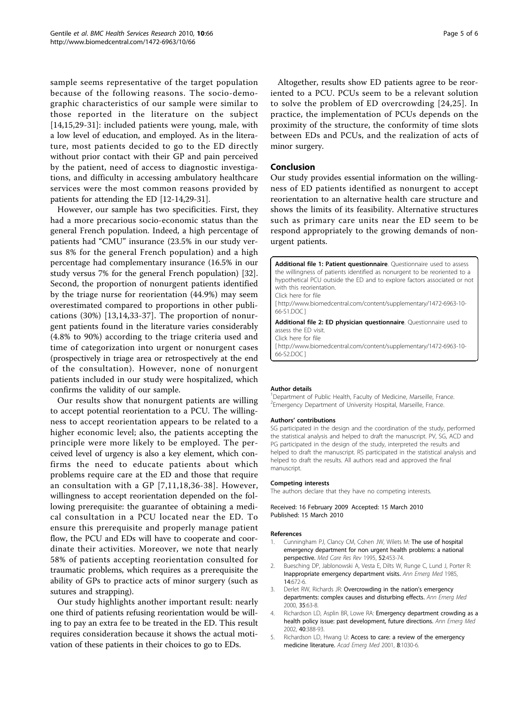<span id="page-4-0"></span>sample seems representative of the target population because of the following reasons. The socio-demographic characteristics of our sample were similar to those reported in the literature on the subject [[14,15,29-31](#page-5-0)]: included patients were young, male, with a low level of education, and employed. As in the literature, most patients decided to go to the ED directly without prior contact with their GP and pain perceived by the patient, need of access to diagnostic investigations, and difficulty in accessing ambulatory healthcare services were the most common reasons provided by patients for attending the ED [\[12](#page-5-0)-[14](#page-5-0),[29](#page-5-0)-[31\]](#page-5-0).

However, our sample has two specificities. First, they had a more precarious socio-economic status than the general French population. Indeed, a high percentage of patients had "CMU" insurance (23.5% in our study versus 8% for the general French population) and a high percentage had complementary insurance (16.5% in our study versus 7% for the general French population) [\[32](#page-5-0)]. Second, the proportion of nonurgent patients identified by the triage nurse for reorientation (44.9%) may seem overestimated compared to proportions in other publications (30%) [[13](#page-5-0),[14,33](#page-5-0)-[37](#page-5-0)]. The proportion of nonurgent patients found in the literature varies considerably (4.8% to 90%) according to the triage criteria used and time of categorization into urgent or nonurgent cases (prospectively in triage area or retrospectively at the end of the consultation). However, none of nonurgent patients included in our study were hospitalized, which confirms the validity of our sample.

Our results show that nonurgent patients are willing to accept potential reorientation to a PCU. The willingness to accept reorientation appears to be related to a higher economic level; also, the patients accepting the principle were more likely to be employed. The perceived level of urgency is also a key element, which confirms the need to educate patients about which problems require care at the ED and those that require an consultation with a GP [[7](#page-5-0),[11](#page-5-0),[18](#page-5-0),[36](#page-5-0)-[38\]](#page-5-0). However, willingness to accept reorientation depended on the following prerequisite: the guarantee of obtaining a medical consultation in a PCU located near the ED. To ensure this prerequisite and properly manage patient flow, the PCU and EDs will have to cooperate and coordinate their activities. Moreover, we note that nearly 58% of patients accepting reorientation consulted for traumatic problems, which requires as a prerequisite the ability of GPs to practice acts of minor surgery (such as sutures and strapping).

Our study highlights another important result: nearly one third of patients refusing reorientation would be willing to pay an extra fee to be treated in the ED. This result requires consideration because it shows the actual motivation of these patients in their choices to go to EDs.

Altogether, results show ED patients agree to be reoriented to a PCU. PCUs seem to be a relevant solution to solve the problem of ED overcrowding [[24,25\]](#page-5-0). In practice, the implementation of PCUs depends on the proximity of the structure, the conformity of time slots between EDs and PCUs, and the realization of acts of minor surgery.

#### Conclusion

Our study provides essential information on the willingness of ED patients identified as nonurgent to accept reorientation to an alternative health care structure and shows the limits of its feasibility. Alternative structures such as primary care units near the ED seem to be respond appropriately to the growing demands of nonurgent patients.

Additional file 1: Patient questionnaire. Questionnaire used to assess the willingness of patients identified as nonurgent to be reoriented to a hypothetical PCU outside the ED and to explore factors associated or not with this reorientation. Click here for file [ http://www.biomedcentral.com/content/supplementary/1472-6963-10- 66-S1.DOC ] Additional file 2: ED physician questionnaire. Questionnaire used to assess the ED visit. Click here for file

[ http://www.biomedcentral.com/content/supplementary/1472-6963-10- 66-S2.DOC ]

#### Author details

<sup>1</sup>Department of Public Health, Faculty of Medicine, Marseille, France. 2 Emergency Department of University Hospital, Marseille, France.

#### Authors' contributions

SG participated in the design and the coordination of the study, performed the statistical analysis and helped to draft the manuscript. PV, SG, ACD and PG participated in the design of the study, interpreted the results and helped to draft the manuscript. RS participated in the statistical analysis and helped to draft the results. All authors read and approved the final manuscript.

#### Competing interests

The authors declare that they have no competing interests.

Received: 16 February 2009 Accepted: 15 March 2010 Published: 15 March 2010

#### References

- Cunningham PJ, Clancy CM, Cohen JW, Wilets M: [The use of hospital](http://www.ncbi.nlm.nih.gov/pubmed/10153309?dopt=Abstract) [emergency department for non urgent health problems: a national](http://www.ncbi.nlm.nih.gov/pubmed/10153309?dopt=Abstract) [perspective.](http://www.ncbi.nlm.nih.gov/pubmed/10153309?dopt=Abstract) Med Care Res Rev 1995, 52:453-74.
- 2. Buesching DP, Jablonowski A, Vesta E, Dilts W, Runge C, Lund J, Porter R: [Inappropriate emergency department visits.](http://www.ncbi.nlm.nih.gov/pubmed/3893239?dopt=Abstract) Ann Emerg Med 1985, 14:672-6.
- 3. Derlet RW, Richards JR: [Overcrowding in the nation](http://www.ncbi.nlm.nih.gov/pubmed/10613941?dopt=Abstract)'s emergency [departments: complex causes and disturbing effects.](http://www.ncbi.nlm.nih.gov/pubmed/10613941?dopt=Abstract) Ann Emerg Med 2000, 35:63-8.
- Richardson LD, Asplin BR, Lowe RA: [Emergency department crowding as a](http://www.ncbi.nlm.nih.gov/pubmed/12239493?dopt=Abstract) [health policy issue: past development, future directions.](http://www.ncbi.nlm.nih.gov/pubmed/12239493?dopt=Abstract) Ann Emerg Med 2002, 40:388-93.
- 5. Richardson LD, Hwang U: [Access to care: a review of the emergency](http://www.ncbi.nlm.nih.gov/pubmed/11691664?dopt=Abstract) [medicine literature.](http://www.ncbi.nlm.nih.gov/pubmed/11691664?dopt=Abstract) Acad Emerg Med 2001, 8:1030-6.